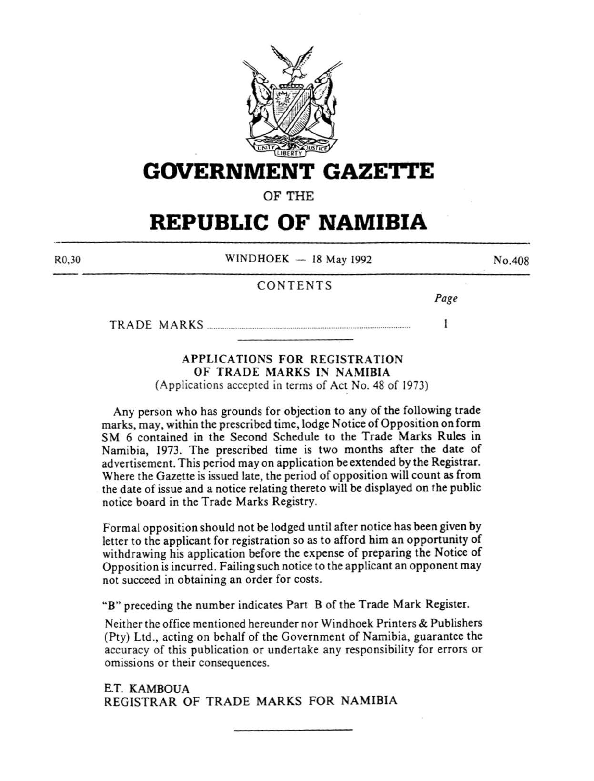

## **GOVERNMENT GAZETI'E**

OF THE

# **REPUBLIC OF NAMIBIA**

R0,30

 $WINDHOEK - 18$  May 1992

### CONTENTS

*Page* 

 $\mathbf{I}$ 

No.408

TRADE MARKS .............................................................................................. .

## APPLICATIONS FOR REGISTRATION OF TRADE MARKS IN NAMIBIA

(Applications accepted in terms of Act No. 48 of 1973)

Any person who has grounds for objection to any of the following trade marks, may, within the prescribed time, lodge Notice of Opposition on form SM 6 contained in the Second Schedule to the Trade Marks Rules in Namibia, 1973. The prescribed time is two months after the date of advertisement. This period may on application be extended by the Registrar. Where the Gazette is issued late, the period of opposition will count as from the date of issue and a notice relating thereto will be displayed on the public notice board in the Trade Marks Registry.

Formal opposition should not be lodged until after notice has been given by letter to the applicant for registration so as to afford him an opportunity of withdrawing his application before the expense of preparing the Notice of Opposition is incurred. Failing such notice to the applicant an opponent may not succeed in obtaining an order for costs.

"B" preceding the number indicates Part B of the Trade Mark Register.

Neither the office mentioned hereunder nor Windhoek Printers & Publishers (Pty) Ltd., acting on behalf of the Government of Namibia, guarantee the accuracy of this publication or undertake any responsibility for errors or omissions or their consequences.

E.T. KAMBOUA REGISTRAR OF TRADE MARKS FOR NAMIBIA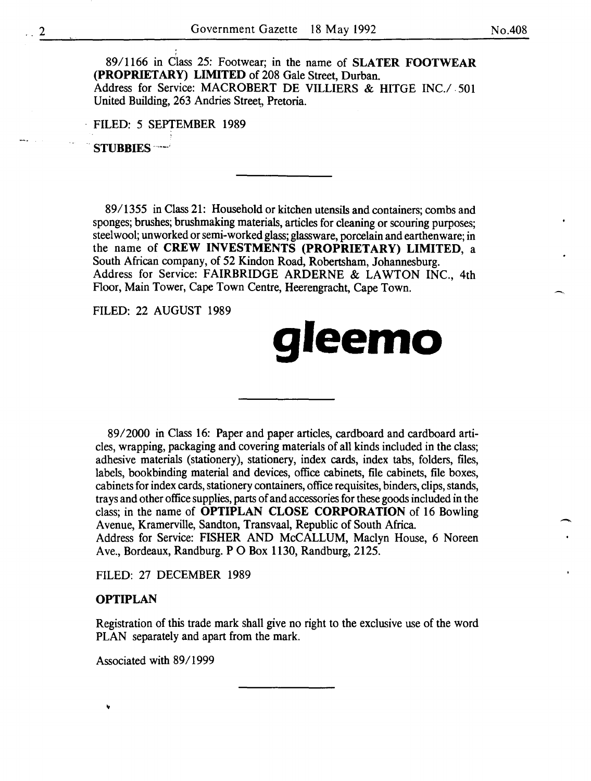-<br>-<br>-

89/1166 in Class 25: Footwear; in the name of **SLATER FOOTWEAR (PROPRIETARY) LIMITED** of 208 Gale Street, Durban. Address for Service: MACROBERT DE VILLIERS & HITGE INC./. 501 United Building, 263 Andries Street, Pretoria.

FILED: 5 SEPTEMBER 1989

.. **STUBBIES** · ... \_\_ ;

89/1355 in Class 21: Household or kitchen utensils and containers; combs and sponges; brushes; brushmaking materials, articles for cleaning or scouring purposes; steel wool; unworked or semi-worked glass; glassware, porcelain and earthenware; in the name of **CREW INVESTMENTS (PROPRIETARY) LIMITED,** a South African company, of 52 Kindon Road, Robertsham, Johannesburg. Address for Service: FAIRBRIDGE ARDERNE & LAWTON INC., 4th Floor, Main Tower, Cape Town Centre, Heerengracht, Cape Town.

FILED: 22 AUGUST 1989

# **gleemo**

89/2000 in Class 16: Paper and paper articles, cardboard and cardboard articles, wrapping, packaging and covering materials of all kinds included in the class; adhesive materials (stationery), stationery, index cards, index tabs, folders, files, labels, bookbinding material and devices, office cabinets, file cabinets, file boxes, cabinets for index cards, stationery containers, office requisites, binders, clips, stands, trays and other office supplies, parts of and accessories for these goods included in the class; in the name of **OPTIPLAN CLOSE CORPORATION** of 16 Bowling Avenue, Kramerville, Sandton, Transvaal, Republic of South Africa. Address for Service: FISHER AND McCALLUM, Maclyn House, 6 Noreen Ave., Bordeaux, Randburg. P 0 Box 1130, Randburg, 2125.

FILED: 27 DECEMBER 1989

#### **OPTIPLAN**

Registration of this trade mark shall give no right to the exclusive use of the word PLAN separately and apart from the mark.

Associated with 89/1999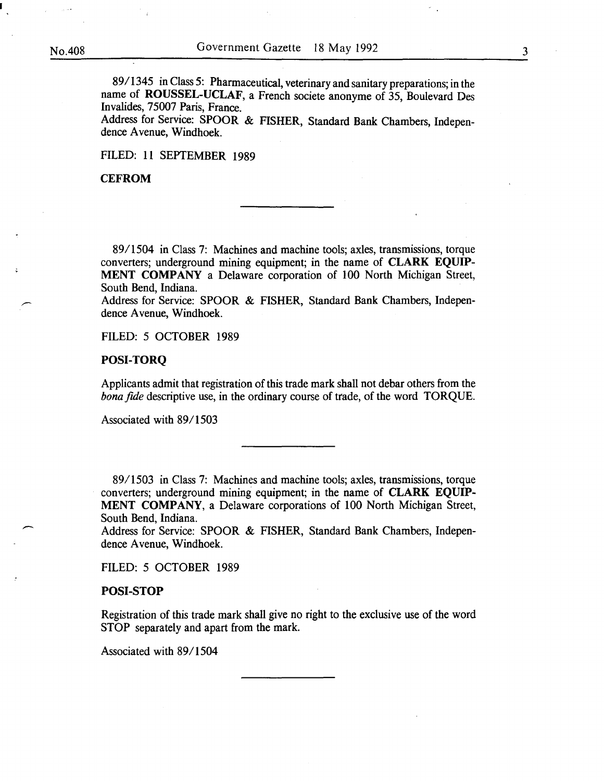89/I345 in Class 5: Pharmaceutical, veterinary and sanitary preparations; in the name of ROUSSEL-UCLAF, a French societe anonyme of 35, Boulevard Des Invalides, 75007 Paris, France.

Address for Service: SPOOR & FISHER, Standard Bank Chambers, Independence Avenue, Windhoek.

FILED: II SEPTEMBER I989

#### **CEFROM**

89/I504 in Class 7: Machines and machine tools; axles, transmissions, torque converters; underground mining equipment; in the name of CLARK EQUIP-MENT COMPANY a Delaware corporation of IOO North Michigan Street, South Bend, Indiana.

Address for Service: SPOOR & FISHER, Standard Bank Chambers, Independence Avenue, Windhoek.

FILED: 5 OCTOBER I989

#### POSI-TORQ

Applicants admit that registration of this trade mark shall not debar others from the *bonafide* descriptive use, in the ordinary course of trade, of the word TORQUE.

Associated with 89/I503

89/I503 in Class 7: Machines and machine tools; axles, transmissions, torque converters; underground mining equipment; in the name of CLARK EQUIP-MENT COMPANY, a Delaware corporations of 100 North Michigan Street, South Bend, Indiana.

Address for Service: SPOOR & FISHER, Standard Bank Chambers, Independence Avenue, Windhoek.

FILED: 5 OCTOBER I989

#### POSI-STOP

Registration of this trade mark shall give no right to the exclusive use of the word STOP separately and apart from the mark.

Associated with 89/I504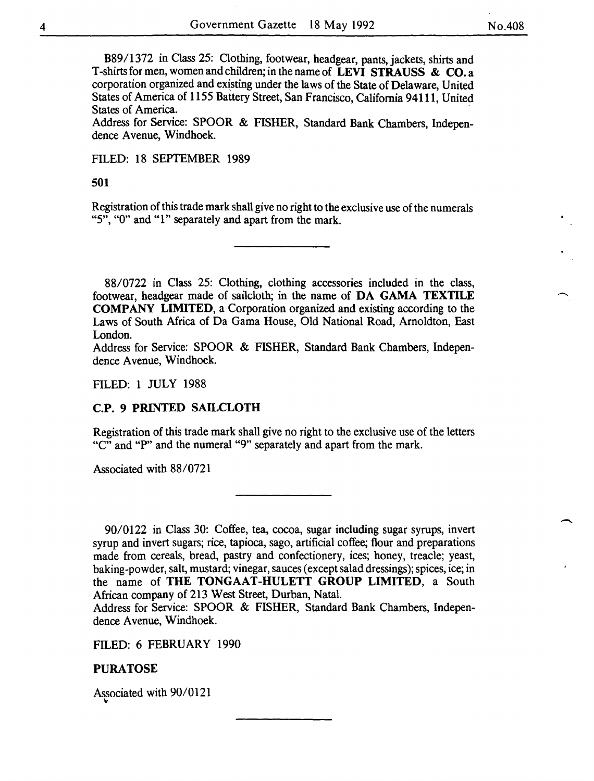-

B89/1372 in Class 25: Clothing, footwear, headgear, pants, jackets, shirts and T-shirts for men, women and children; in the name of LEVI STRAUSS & CO. a corporation organized and existing under the laws of the State of Delaware, United States of America of 1155 Battery Street, San Francisco, California 94111, United States of America.

Address for Service: SPOOR & FISHER, Standard Bank Chambers, Independence Avenue, Windhoek.

FILED: 18 SEPTEMBER 1989

#### 501

Registration of this trade mark shall give no right to the exclusive use of the numerals "5", "0" and "1" separately and apart from the mark.

88/0722 in Class 25: Clothing, clothing accessories included in the class, footwear, headgear made of sailcloth; in the name of DA GAMA TEXTILE COMPANY LIMITED, a Corporation organized and existing according to the Laws of South Africa of Da Gama House, Old National Road, Amoldton, East London.

Address for Service: SPOOR & FISHER, Standard Bank Chambers, Independence Avenue, Windhoek.

#### FILED: 1 JULY 1988

#### C.P. 9 PRINTED SAILCLOTH

Registration of this trade mark shall give no right to the exclusive use of the letters "C" and "P" and the numeral "9" separately and apart from the mark.

Associated with 88/0721

90/0122 in Class 30: Coffee, tea, cocoa, sugar including sugar syrups, invert syrup and invert sugars; rice, tapioca, sago, artificial coffee; flour and preparations made from cereals, bread, pastry and confectionery, ices; honey, treacle; yeast, baking-powder, salt, mustard; vinegar, sauces (except salad dressings); spices, ice; in the name of THE TONGAAT-HULETT GROUP LIMITED, a South African company of 213 West Street, Durban, Natal.

Address for Service: SPOOR & FISHER, Standard Bank Chambers, Independence Avenue, Windhoek.

FILED: 6 FEBRUARY 1990

PURATOSE

Associated with 90/0121 **A**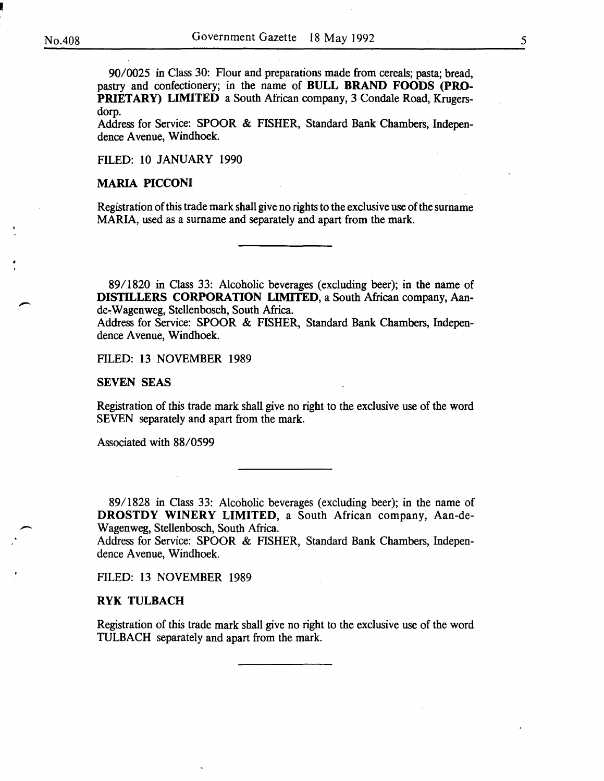I

 $\overline{\phantom{a}}$ 

90/0025 in Class 30: Flour and preparations made from cereals; pasta; bread, pastry and confectionery; in the name of BULL BRAND FOODS (PRO-PRIETARY) LIMITED a South African company, 3 Condale Road, Krugersdorp.

Address for Service: SPOOR & FISHER, Standard Bank Chambers, Independence Avenue, Windhoek.

FILED: 10 JANUARY 1990

#### MARIA PICCONI

Registration of this trade mark shall give no rights to the exclusive use of the surname MARIA, used as a surname and separately and apart from the mark.

89/1820 in Class 33: Alcoholic beverages (excluding beer); in the name of DISTILLERS CORPORATION LIMITED, a South African company, Aande~ Wagenweg, Stellenbosch, South Africa.

Address for Service: SPOOR & FISHER, Standard Bank Chambers, Independence Avenue, Windhoek.

#### FILED: 13 NOVEMBER 1989

#### SEVEN SEAS

Registration of this trade mark shall give no right to the exclusive use of the word SEVEN separately and apart from the mark.

Associated with 88/0599

89/1828 in Class 33: Alcoholic beverages (excluding beer); in the name of DROSTDY WINERY LIMITED, a South African company, Aan-de-Wagenweg, Stellenbosch, South Africa.

Address for Service: SPOOR & FISHER, Standard Bank Chambers, Independence Avenue, Windhoek.

FILED: 13 NOVEMBER 1989

#### RYK TULBACH

Registration of this trade mark shall give no right to the exclusive use of the word TULBACH separately and apart from the mark.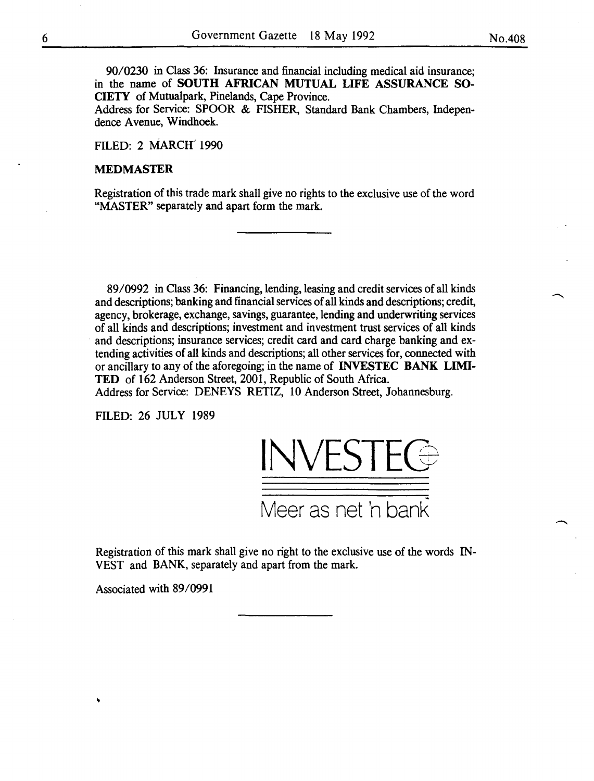90/0230 in Class 36: Insurance and financial including medical aid insurance; in the name of SOUTH AFRICAN MUTUAL LIFE ASSURANCE SO-CIETY of Mutualpark, Pinelands, Cape Province.

Address for Service: SPOOR & FISHER, Standard Bank Chambers, Independence Avenue, Windhoek.

FILED: 2 MARCH 1990

#### MEDMASTER

Registration of this trade mark shall give no rights to the exclusive use of the word "MASTER" separately and apart form the mark.

89/0992 in Class 36: Financing, lending, leasing and credit services of all kinds and descriptions; banking and financial services of all kinds and descriptions; credit, agency, brokerage, exchange, savings, guarantee, lending and underwriting services of all kinds and descriptions; investment and investment trust services of all kinds and descriptions; insurance services; credit card and card charge banking and extending activities of all kinds and descriptions; all other services for, connected with or ancillary to any of the aforegoing; in the name of INVESTEC BANK LIMI-TED of 162 Anderson Street, 2001, Republic of South Africa.

Address for Service: DENEYS RETIZ, 10 Anderson Street, Johannesburg.

FILED: 26 JULY 1989



Registration of this mark shall give no right to the exclusive use of the words IN-VEST and BANK, separately and apart from the mark.

Associated with 89/0991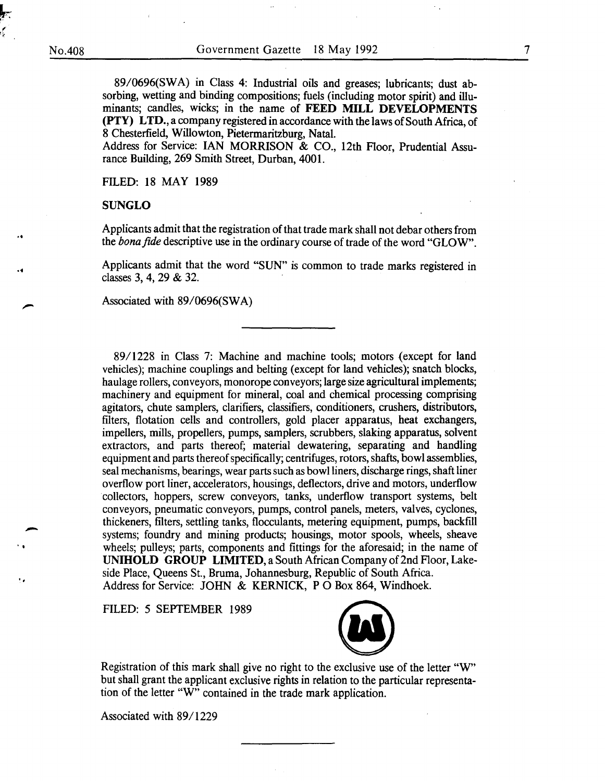*l-:-:*  .<br>∎  $\int$ 

..

..

-

. ,

89/0696(SWA) in Class 4: Industrial oils and greases; lubricants; dust absorbing, wetting and binding compositions; fuels (including motor spirit) and illuminants; candles, wicks; in the name of **FEED MILL DEVELOPMENTS (PTY) LTD.,** a company registered in accordance with the laws of South Africa, of 8 Chesterfield, Willowton, Pietermaritzburg, Natal.

Address for Service: IAN MORRISON & CO., 12th Floor, Prudential Assurance Building, 269 Smith Street, Durban, 4001.

FILED: 18 MAY 1989

#### **SUNGLO**

Applicants admit that the registration of that trade mark shall not debar others from the *bona fide* descriptive use in the ordinary course of trade of the word "GLOW".

Applicants admit that the word "SUN" is common to trade marks registered in classes 3, 4, 29 & 32.

Associated with 89/0696(SWA)

89/1228 in Class 7: Machine and machine tools; motors {except for land vehicles); machine couplings and belting (except for land vehicles); snatch blocks, haulage rollers, conveyors, monorope conveyors; large size agricultural implements; machinery and equipment for mineral, coal and chemical processing comprising agitators, chute samplers, clarifiers, classifiers, conditioners, crushers, distributors, filters, flotation cells and controllers, gold placer apparatus, heat exchangers, impellers, mills, propellers, pumps, samplers, scrubbers, slaking apparatus, solvent extractors, and parts thereof; material dewatering, separating and handling equipment and parts thereof specifically; centrifuges, rotors, shafts, bowl assemblies, seal mechanisms, bearings, wear parts such as bowl liners, discharge rings, shaft liner overflow port liner, accelerators, housings, deflectors, drive and motors, underflow collectors, hoppers, screw conveyors, tanks, underflow transport systems, belt conveyors, pneumatic conveyors, pumps, control panels, meters, valves, cyclones, thickeners, filters, settling tanks, flocculants, metering equipment, pumps, backfill systems; foundry and mining products; housings, motor spools, wheels, sheave wheels; pulleys; parts, components and fittings for the aforesaid; in the name of **UNIHOLD GROUP LIMITED,** a South African Company of 2nd Floor, Lakeside Place, Queens St., Bruma, Johannesburg, Republic of South Africa . Address for Service: JOHN & KERNICK, **P** 0 Box 864, Windhoek.

FILED: 5 SEPTEMBER 1989



Registration of this mark shall give no right to the exclusive use of the letter "W" but shall grant the applicant exclusive rights in relation to the particular representation of the letter "W" contained in the trade mark application.

Associated with 89/1229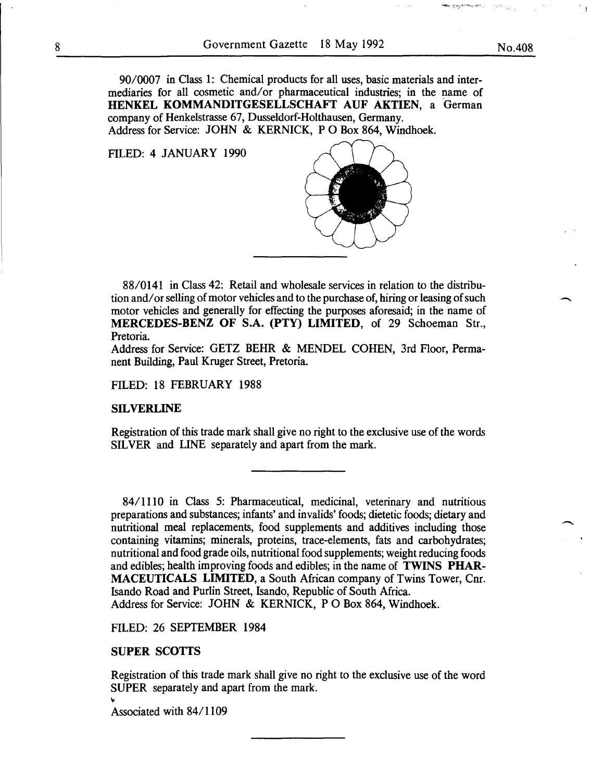90/0007 in Class 1: Chemical products for all uses, basic materials and intermediaries for all cosmetic and/or pharmaceutical industries; in the name of HENKEL KOMMANDITGESELLSCHAFT AUF AKTIEN, a German company of Henkelstrasse 67, Dusseldorf-Holthausen, Germany. Address for Service: JOHN & KERNICK, P 0 Box 864, Windhoek.

FILED: 4 JANUARY 1990



88/0141 in Class 42: Retail and wholesale services in relation to the distribution and/ or selling of motor vehicles and to the purchase of, hiring or leasing of such motor vehicles and generally for effecting the purposes aforesaid; in the name of MERCEDES-BENZ OF S.A. (PTY) LIMITED, of 29 Schoeman Str., Pretoria.

Address for Service: GETZ BEHR & MENDEL COHEN, 3rd Floor, Permanent Building, Paul Kruger Street, Pretoria.

FILED: 18 FEBRUARY 1988

#### SILVERLINE

Registration of this trade mark shall give no right to the exclusive use of the words SILVER and LINE separately and apart from the mark.

84/1110 in Class 5: Pharmaceutical, medicinal, veterinary and nutritious preparations and substances; infants' and invalids' foods; dietetic foods; dietary and nutritional meal replacements, food supplements and additives including those containing vitamins; minerals, proteins, trace-elements, fats and carbohydrates; nutritional and food grade oils, nutritional food supplements; weight reducing foods and edibles; health improving foods and edibles; in the name of TWINS PHAR-MACEUTICALS LIMITED, a South African company of Twins Tower, Cnr. Isando Road and Purlin Street, Isando, Republic of South Africa. Address for Service: JOHN & KERNICK, P 0 Box 864, Windhoek.

FILED: 26 SEPTEMBER 1984

#### SUPER SCOTTS

Registration of this trade mark shall give no right to the exclusive use of the word SUPER separately and apart from the mark.

Associated with 84/1109

 $^{\circ}$  .